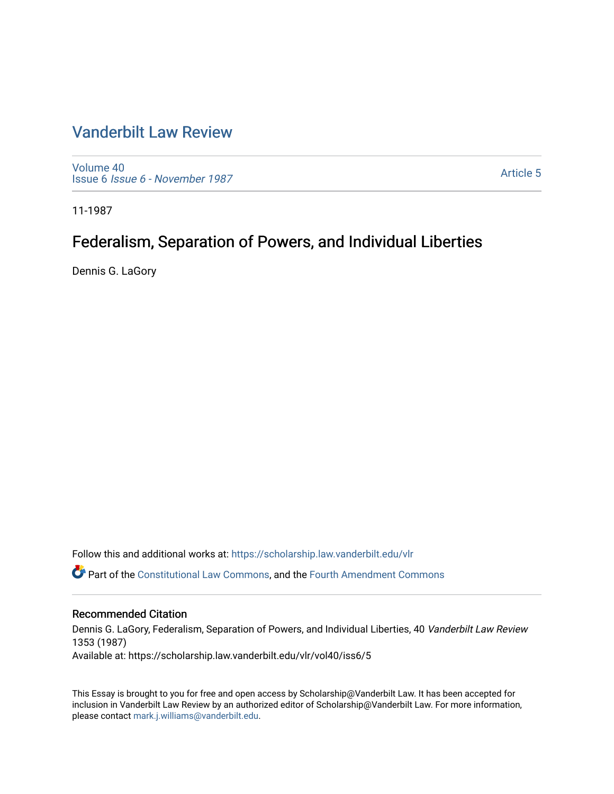# [Vanderbilt Law Review](https://scholarship.law.vanderbilt.edu/vlr)

[Volume 40](https://scholarship.law.vanderbilt.edu/vlr/vol40) Issue 6 [Issue 6 - November 1987](https://scholarship.law.vanderbilt.edu/vlr/vol40/iss6)

[Article 5](https://scholarship.law.vanderbilt.edu/vlr/vol40/iss6/5) 

11-1987

# Federalism, Separation of Powers, and Individual Liberties

Dennis G. LaGory

Follow this and additional works at: [https://scholarship.law.vanderbilt.edu/vlr](https://scholarship.law.vanderbilt.edu/vlr?utm_source=scholarship.law.vanderbilt.edu%2Fvlr%2Fvol40%2Fiss6%2F5&utm_medium=PDF&utm_campaign=PDFCoverPages)

Part of the [Constitutional Law Commons,](http://network.bepress.com/hgg/discipline/589?utm_source=scholarship.law.vanderbilt.edu%2Fvlr%2Fvol40%2Fiss6%2F5&utm_medium=PDF&utm_campaign=PDFCoverPages) and the [Fourth Amendment Commons](http://network.bepress.com/hgg/discipline/1180?utm_source=scholarship.law.vanderbilt.edu%2Fvlr%2Fvol40%2Fiss6%2F5&utm_medium=PDF&utm_campaign=PDFCoverPages) 

## Recommended Citation

Dennis G. LaGory, Federalism, Separation of Powers, and Individual Liberties, 40 Vanderbilt Law Review 1353 (1987) Available at: https://scholarship.law.vanderbilt.edu/vlr/vol40/iss6/5

This Essay is brought to you for free and open access by Scholarship@Vanderbilt Law. It has been accepted for inclusion in Vanderbilt Law Review by an authorized editor of Scholarship@Vanderbilt Law. For more information, please contact [mark.j.williams@vanderbilt.edu.](mailto:mark.j.williams@vanderbilt.edu)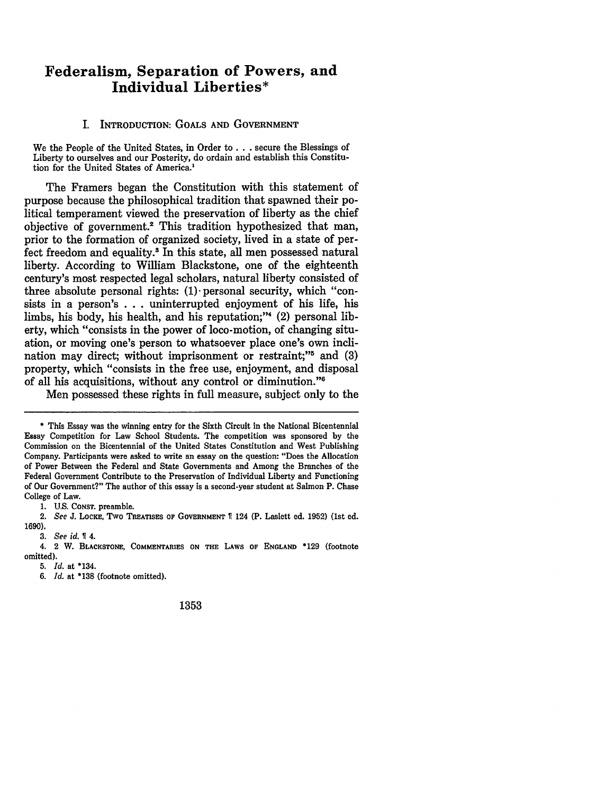# **Federalism, Separation of Powers, and Individual Liberties\***

#### I. INTRODUCTION: **GOALS AND GOVERNMENT**

We the People of the United States, in Order to **. . .**secure the Blessings of Liberty to ourselves and our Posterity, do ordain and establish this Constitution for the United States of America.'

The Framers began the Constitution with this statement of purpose because the philosophical tradition that spawned their political temperament viewed the preservation of liberty as the chief objective of government.2 This tradition hypothesized that man, prior to the formation of organized society, lived in a state of perfect freedom and equality.' In this state, all men possessed natural liberty. According to William Blackstone, one of the eighteenth century's most respected legal scholars, natural liberty consisted of three absolute personal rights:  $(1)$  personal security, which "consists in a person's ... uninterrupted enjoyment of his life, his limbs, his body, his health, and his reputation;"4 (2) personal liberty, which "consists in the power of loco-motion, of changing situation, or moving one's person to whatsoever place one's own inclination may direct; without imprisonment or restraint;"<sup> $5$ </sup> and (3) property, which "consists in the free use, enjoyment, and disposal of all his acquisitions, without any control or diminution."'

Men possessed these rights in full measure, subject only to the

1. U.S. CONST. preamble.

*6. Id.* at **\*138** (footnote omitted).

1353

<sup>\*</sup> This Essay was the winning entry for the Sixth Circuit in the National Bicentennial Essay Competition for Law School Students. The competition was sponsored by the Commission on the Bicentennial of the United States Constitution and West Publishing Company. Participants were asked to write an essay on the question: "Does the Allocation of Power Between the Federal and State Governments and Among the Branches of the Federal Government Contribute to the Preservation of Individual Liberty and Functioning of Our Government?" The author of this essay is a second-year student at Salmon P. Chase College of Law.

<sup>2.</sup> *See* **J.** LOCKE, Two **TREATISES OF GOVERNMENT** 124 (P. Laslett ed. 1952) (1st ed. 1690).

<sup>3.</sup> *See id.* 4.

<sup>4. 2</sup> W. **BLACKSTONE, COMMENTARIES ON THE LAWS OF ENGLAND** \*129 (footnote omitted).

*<sup>5.</sup> Id.* at \*134.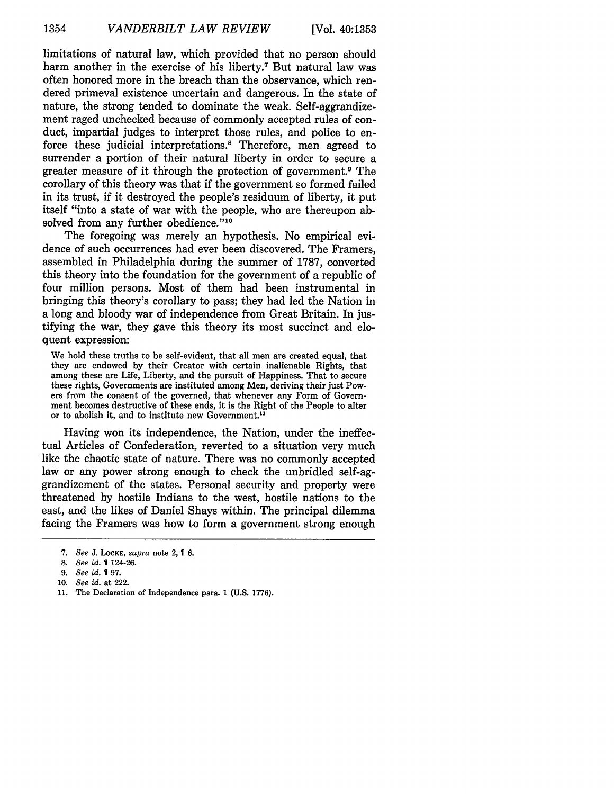limitations of natural law, which provided that no person should harm another in the exercise of his liberty.7 But natural law was often honored more in the breach than the observance, which rendered primeval existence uncertain and dangerous. In the state of nature, the strong tended to dominate the weak. Self-aggrandizement raged unchecked because of commonly accepted rules of conduct, impartial judges to interpret those rules, and police to enforce these judicial interpretations." Therefore, men agreed to surrender a portion of their natural liberty in order to secure a greater measure of it through the protection of government. 9 The corollary of this theory was that if the government so formed failed in its trust, if it destroyed the people's residuum of liberty, it put itself "into a state of war with the people, who are thereupon absolved from any further obedience."<sup>10</sup>

The foregoing was merely an hypothesis. No empirical evidence of such occurrences had ever been discovered. The Framers, assembled in Philadelphia during the summer of 1787, converted this theory into the foundation for the government of a republic of four million persons. Most of them had been instrumental in bringing this theory's corollary to pass; they had led the Nation in a long and bloody war of independence from Great Britain. In justifying the war, they gave this theory its most succinct and eloquent expression:

We hold these truths to be self-evident, that all men are created equal, that they are endowed by their Creator with certain inalienable Rights, that among these are Life, Liberty, and the pursuit of Happiness. That to secure these rights, Governments are instituted among Men, deriving their just Powers from the consent of the governed, that whenever any Form of Government becomes destructive of these ends, it is the Right of the People to alter or to abolish it, and to institute new Government.<sup>11</sup>

Having won its independence, the Nation, under the ineffectual Articles of Confederation, reverted to a situation very much like the chaotic state of nature. There was no commonly accepted law or any power strong enough to check the unbridled self-aggrandizement of the states. Personal security and property were threatened by hostile Indians to the west, hostile nations to the east, and the likes of Daniel Shays within. The principal dilemma facing the Framers was how to form a government strong enough

*<sup>7.</sup> See* J. LOCKE, *supra* note 2, 6.

<sup>8.</sup> *See id.* 124-26.

<sup>9.</sup> See id. 197.

<sup>10.</sup> *See id.* at 222.

<sup>11.</sup> The Declaration of Independence para. 1 (U.S. 1776).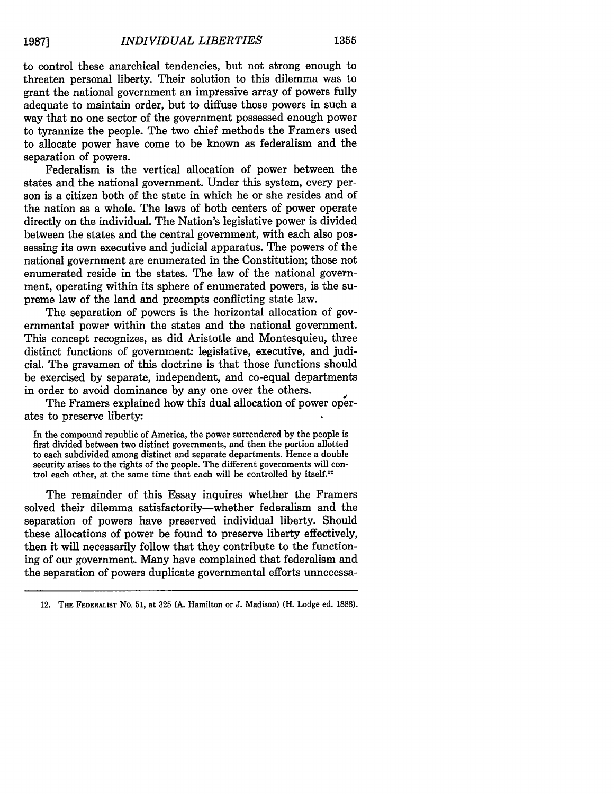to control these anarchical tendencies, but not strong enough to threaten personal liberty. Their solution to this dilemma was to grant the national government an impressive array of powers fully adequate to maintain order, but to diffuse those powers in such a way that no one sector of the government possessed enough power to tyrannize the people. The two chief methods the Framers used to allocate power have come to be known as federalism and the separation of powers.

Federalism is the vertical allocation of power between the states and the national government. Under this system, every person is a citizen both of the state in which he or she resides and of the nation as a whole. The laws of both centers of power operate directly on the individual. The Nation's legislative power is divided between the states and the central government, with each also possessing its own executive and judicial apparatus. The powers of the national government are enumerated in the Constitution; those not enumerated reside in the states. The law of the national government, operating within its sphere of enumerated powers, is the supreme law of the land and preempts conflicting state law.

The separation of powers is the horizontal allocation of governmental power within the states and the national government. This concept recognizes, as did Aristotle and Montesquieu, three distinct functions of government: legislative, executive, and judicial. The gravamen of this doctrine is that those functions should be exercised by separate, independent, and co-equal departments in order to avoid dominance by any one over the others.

The Framers explained how this dual allocation of power operates to preserve liberty:

In the compound republic of America, the power surrendered by the people is first divided between two distinct governments, and then the portion allotted to each subdivided among distinct and separate departments. Hence a double security arises to the rights of the people. The different governments will control each other, at the same time that each will be controlled **by** itself.<sup>12</sup>

The remainder of this Essay inquires whether the Framers solved their dilemma satisfactorily-whether federalism and the separation of powers have preserved individual liberty. Should these allocations of power be found to preserve liberty effectively, then it will necessarily follow that they contribute to the functioning of our government. Many have complained that federalism and the separation of powers duplicate governmental efforts unnecessa-

<sup>12.</sup> **THE FEDERALIST** No. **51,** at **325 (A.** Hamilton or **J.** Madison) (H. Lodge ed. **1888).**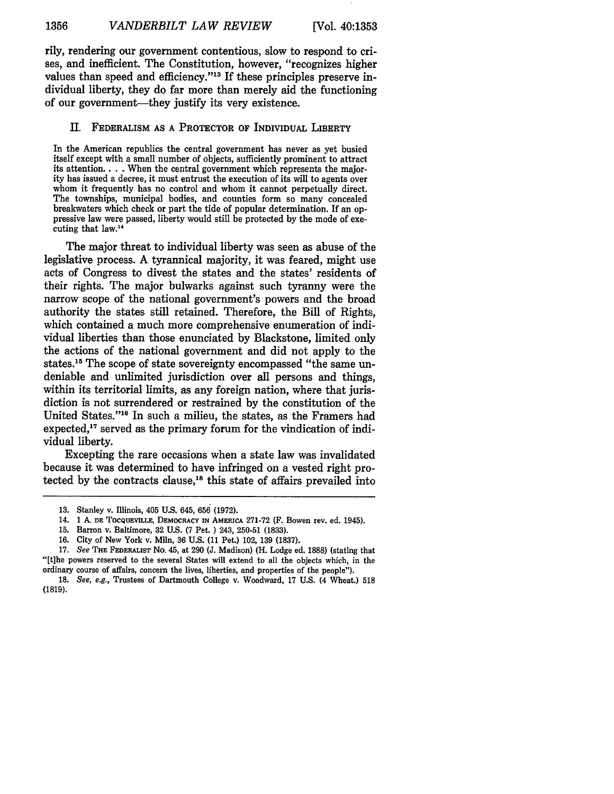rily, rendering our government contentious, slow to respond to crises, and inefficient. The Constitution, however, "recognizes higher values than speed and efficiency."13 If these principles preserve individual liberty, they do far more than merely aid the functioning of our government—they justify its very existence.

#### II. FEDERALISM **AS A** PROTECTOR OF INDIVIDUAL LIBERTY

In the American republics the central government has never as yet busied itself except with a small number of objects, sufficiently prominent to attract its attention.. . . When the central government which represents the majority has issued a decree, it must entrust the execution of its will to agents over whom it frequently has no control and whom it cannot perpetually direct. The townships, municipal bodies, and counties form so many concealed breakwaters which check or part the tide of popular determination. If an oppressive law were passed, liberty would still be protected **by** the mode of executing that law.<sup>14</sup>

The major threat to individual liberty was seen as abuse of the legislative process. **A** tyrannical majority, it was feared, might use acts of Congress to divest the states and the states' residents of their rights. The major bulwarks against such tyranny were the narrow scope of the national government's powers and the broad authority the states still retained. Therefore, the Bill of Rights, which contained a much more comprehensive enumeration of individual liberties than those enunciated **by** Blackstone, limited only the actions of the national government and did not apply to the states.15 The scope of state sovereignty encompassed "the same undeniable and unlimited jurisdiction over all persons and things, within its territorial limits, as any foreign nation, where that jurisdiction is not surrendered or restrained **by** the constitution of the United States."<sup>16</sup> In such a milieu, the states, as the Framers had expected,<sup>17</sup> served as the primary forum for the vindication of individual liberty.

Excepting the rare occasions when a state law was invalidated because it was determined to have infringed on a vested right protected by the contracts clause,<sup>18</sup> this state of affairs prevailed into

<sup>13.</sup> Stanley v. Illinois, 405 U.S. 645, **656** (1972).

<sup>14. 1</sup> **A. DE TOCQUEVILLE, DEMOcRACY** IN AMERICA 271-72 (F. Bowen rev. ed. 1945).

**<sup>15.</sup>** Barron v. Baltimore, **32** U.S. (7 Pet. **)** 243, **250-51 (1833).**

**<sup>16.</sup>** City of New York v. Miln, **36** U.S. (11 Pet.) 102, **139 (1837).**

<sup>17.</sup> See **THE FEDERALIST** No. 45, at **290 (J.** Madison) (H. Lodge ed. **1888)** (stating that "[tihe powers reserved to the several States will extend to all the objects which, in the ordinary course of affairs, concern the lives, liberties, and properties of the people").

*<sup>18.</sup>* See, e.g., Trustees of Dartmouth College v. Woodward, **17** U.S. (4 Wheat.) **518 (1819).**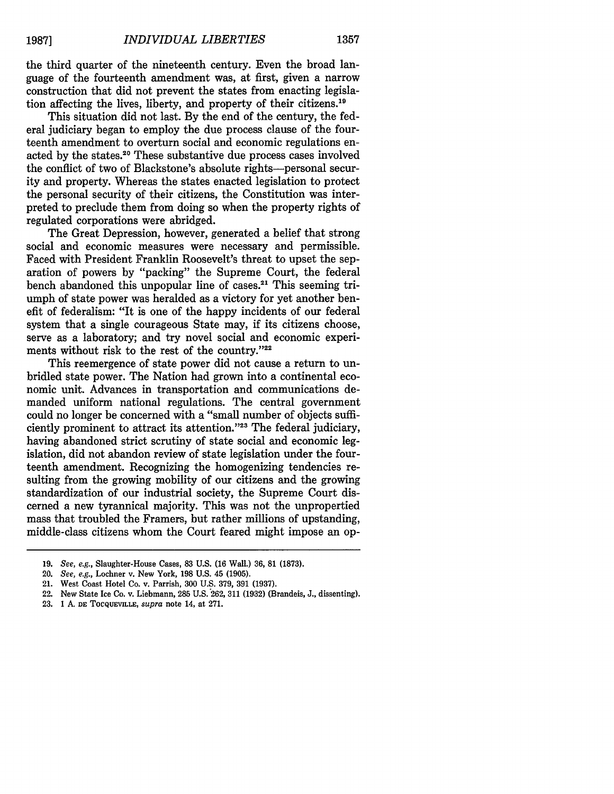the third quarter of the nineteenth century. Even the broad language of the fourteenth amendment was, at first, given a narrow construction that did not prevent the states from enacting legislation affecting the lives, liberty, and property of their citizens. <sup>19</sup>

This situation did not last. By the end of the century, the federal judiciary began to employ the due process clause of the fourteenth amendment to overturn social and economic regulations enacted by the states.20 These substantive due process cases involved the conflict of two of Blackstone's absolute rights-personal security and property. Whereas the states enacted legislation to protect the personal security of their citizens, the Constitution was interpreted to preclude them from doing so when the property rights of regulated corporations were abridged.

The Great Depression, however, generated a belief that strong social and economic measures were necessary and permissible. Faced with President Franklin Roosevelt's threat to upset the separation of powers by "packing" the Supreme Court, the federal bench abandoned this unpopular line of cases.<sup>21</sup> This seeming triumph of state power was heralded as a victory for yet another benefit of federalism: "It is one of the happy incidents of our federal system that a single courageous State may, if its citizens choose, serve as a laboratory; and try novel social and economic experiments without risk to the rest of the country."22

This reemergence of state power did not cause a return to unbridled state power. The Nation had grown into a continental economic unit. Advances in transportation and communications demanded uniform national regulations. The central government could no longer be concerned with a "small number of objects sufficiently prominent to attract its attention."<sup>23</sup> The federal judiciary, having abandoned strict scrutiny of state social and economic legislation, did not abandon review of state legislation under the fourteenth amendment. Recognizing the homogenizing tendencies resulting from the growing mobility of our citizens and the growing standardization of our industrial society, the Supreme Court discerned a new tyrannical majority. This was not the unpropertied mass that troubled the Framers, but rather millions of upstanding, middle-class citizens whom the Court feared might impose an op-

<sup>19.</sup> *See, e.g.,* Slaughter-House Cases, 83 U.S. **(16** Wall.) 36, 81 (1873).

<sup>20.</sup> *See, e.g.,* Lochner v. New York, 198 U.S. 45 (1905).

<sup>21.</sup> West Coast Hotel Co. v. Parrish, **300** U.S. 379, 391 (1937).

<sup>22.</sup> New State Ice Co. v. Liebmann, 285 U.S. 262, 311 (1932) (Brandeis, J., dissenting).

<sup>23. 1</sup> A. **DE** TOCQUEVILLE, *supra* note 14, at 271.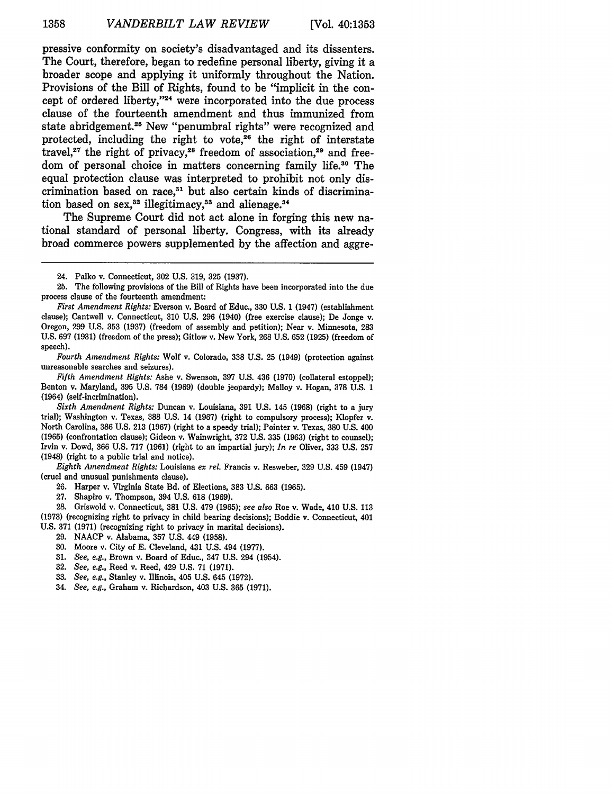pressive conformity on society's disadvantaged and its dissenters. The Court, therefore, began to redefine personal liberty, giving it a broader scope and applying it uniformly throughout the Nation. Provisions of the Bill of Rights, found to be "implicit in the concept of ordered liberty,"<sup>24</sup> were incorporated into the due process clause of the fourteenth amendment and thus immunized from state abridgement.25 New "penumbral rights" were recognized and protected, including the right to vote, $26$  the right of interstate travel,<sup>27</sup> the right of privacy,<sup>28</sup> freedom of association.<sup>29</sup> and freedom of personal choice in matters concerning family life.30 The equal protection clause was interpreted to prohibit not only discrimination based on race,<sup>31</sup> but also certain kinds of discrimination based on sex,<sup>32</sup> illegitimacy,<sup>33</sup> and alienage.<sup>34</sup>

The Supreme Court did not act alone in forging this new national standard of personal liberty. Congress, with its already broad commerce powers supplemented by the affection and aggre-

*Fourth Amendment Rights:* Wolf v. Colorado, 338 U.S. 25 (1949) (protection against unreasonable searches and seizures).

*Fifth Amendment Rights:* Ashe v. Swenson, 397 U.S. 436 (1970) (collateral estoppel); Benton v. Maryland, 395 U.S. 784 (1969) (double jeopardy); Malloy v. Hogan, 378 U.S. 1 (1964) (self-incrimination).

*Eighth Amendment Rights:* Louisiana *ex rel.* Francis v. Resweber, 329 U.S. 459 (1947) (cruel and unusual punishments clause).

27. Shapiro v. Thompson, 394 U.S. 618 (1969).

28. Griswold v. Connecticut, 381 U.S. 479 (1965); *see also* Roe v. Wade, 410 U.S. 113 (1973) (recognizing right to privacy in child bearing decisions); Boddie v. Connecticut, 401 U.S. 371 (1971) (recognizing right to privacy in marital decisions).

- 29. NAACP v. Alabama, 357 U.S. 449 (1958).
- 30. Moore v. City of E. Cleveland, 431 U.S. 494 (1977).
- 31. *See, e.g.,* Brown v. Board of Educ., 347 U.S. 294 (1954).
- 32. *See, e.g.,* Reed v. Reed, 429 U.S. 71 (1971).
- 33. *See, e.g.,* Stanley v. Illinois, 405 U.S. 645 (1972).
- 34. *See, e.g.,* Graham v. Richardson, 403 U.S. 365 (1971).

<sup>24.</sup> Palko v. Connecticut, 302 U.S. 319, 325 (1937).

<sup>25.</sup> The following provisions of the Bill of Rights have been incorporated into the due process clause of the fourteenth amendment:

*First Amendment Rights:* Everson v. Board of Educ., 330 U.S. 1 (1947) (establishment clause); Cantwell v. Connecticut, 310 U.S. 296 (1940) (free exercise clause); De Jonge v. Oregon, 299 U.S. 353 (1937) (freedom of assembly and petition); Near v. Minnesota, 283 U.S. 697 (1931) (freedom of the press); Gitlow v. New York, 268 U.S. 652 (1925) (freedom of speech).

*Sixth Amendment Rights:* Duncan v. Louisiana, 391 U.S. 145 (1968) (right to a jury trial); Washington v. Texas, 388 U.S. 14 (1967) (right to compulsory process); Klopfer v. North Carolina, 386 U.S. 213 (1967) (right to a speedy trial); Pointer v. Texas, 380 U.S. 400 (1965) (confrontation clause); Gideon v. Wainwright, 372 U.S. 335 (1963) (right to counsel); Irvin v. Dowd, 366 U.S. 717 (1961) (right to an impartial jury); *In re* Oliver, 333 U.S. 257 (1948) (right to a public trial and notice).

<sup>26.</sup> Harper v. Virginia State Bd. of Elections, 383 U.S. 663 (1965).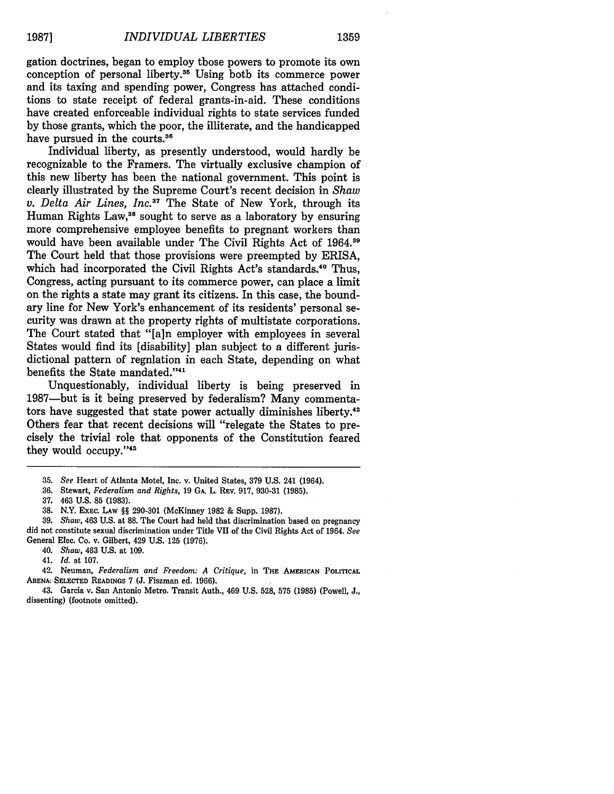gation doctrines, began to employ those powers to promote its own conception of personal liberty. $35$  Using both its commerce power and its taxing and spending power, Congress has attached conditions to state receipt of federal grants-in-aid. These conditions have created enforceable individual rights to state services funded by those grants, which the poor, the illiterate, and the handicapped have pursued in the courts.<sup>36</sup>

Individual liberty, as presently understood, would hardly be recognizable to the Framers. The virtually exclusive champion of this new liberty has been the national government. This point is clearly illustrated by the Supreme Court's recent decision in *Shaw v. Delta Air Lines, Inc.3 <sup>7</sup>*The State of New York, through its Human Rights Law,<sup>38</sup> sought to serve as a laboratory by ensuring more comprehensive employee benefits to pregnant workers than would have been available under The Civil Rights Act of 1964.<sup>39</sup> The Court held that those provisions were preempted by ERISA, which had incorporated the Civil Rights Act's standards.<sup>40</sup> Thus, Congress, acting pursuant to its commerce power, can place a limit on the rights a state may grant its citizens. In this case, the boundary line for New York's enhancement of its residents' personal security was drawn at the property rights of multistate corporations. The Court stated that "[a]n employer with employees in several States would find its [disability] plan subject to a different jurisdictional pattern of regnlation in each State, depending on what benefits the State mandated."41

Unquestionably, individual liberty is being preserved in 1987-but is it being preserved by federalism? Many commentators have suggested that state power actually diminishes liberty. $42$ Others fear that recent decisions will "relegate the States to precisely the trivial role that opponents of the Constitution feared **'**they would **occupy. ' <sup>4</sup>**

39. *Shaw,* 463 U.S. at 88. The Court had held that discrimination based on pregnancy did not constitute sexual discrimination under Title VII of the Civil Rights Act of 1964. *See* General Elec. Co. v. Gilbert, 429 U.S. 125 (1976).

40. *Shaw,* 463 U.S. at 109.

41. *Id.* at 107.

42. Neuman, *Federalism and Freedom: A Critique,* in **THE AMERICAN POLITICAL ARENA: SELECTED** READINGS **7 (J.** Fiszman ed. 1966).

43. Garcia v. San Antonio Metro. Transit Auth., 469 **U.S.** 528, **575 (1985)** (Powell, **J.,** dissenting) (footnote omitted).

<sup>35.</sup> *See* Heart of Atlanta Motel, Inc. v. United States, 379 U.S. 241 (1964).

<sup>36.</sup> Stewart, *Federalism and Rights,* 19 **GA.** L. **REV.** 917, 930-31 (1985).

**<sup>37.</sup>** 463 U.S. 85 (1983).

<sup>38.</sup> N.Y. EXEC. LAW §§ 290-301 (McKinney 1982 & Supp. 1987).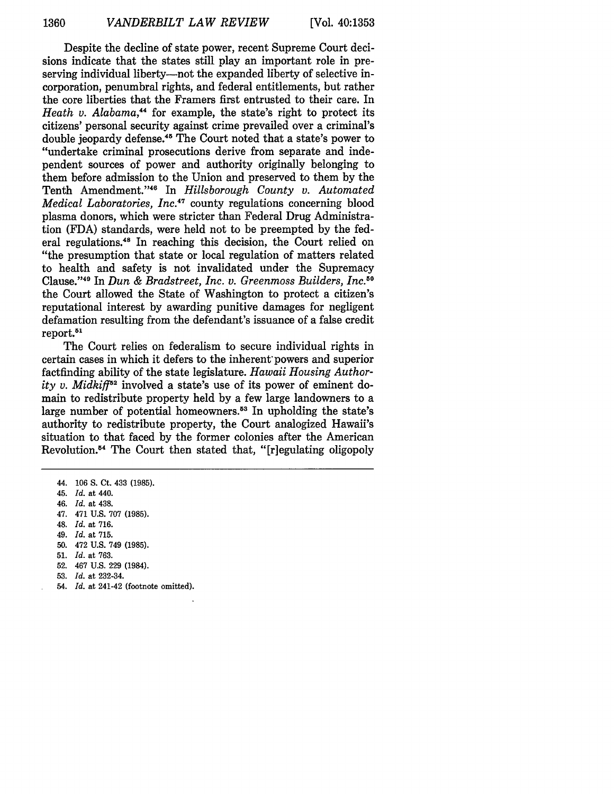Despite the decline of state power, recent Supreme Court decisions indicate that the states still play an important role in preserving individual liberty—not the expanded liberty of selective incorporation, penumbral rights, and federal entitlements, but rather the core liberties that the Framers first entrusted to their care. In *Heath v. Alabama,4* for example, the state's right to protect its citizens' personal security against crime prevailed over a criminal's double jeopardy defense.45 The Court noted that a state's power to "undertake criminal prosecutions derive from separate and independent sources of power and authority originally belonging to them before admission to the Union and preserved to them by the Tenth Amendment."<sup>46</sup> In *Hillsborough County v. Automated Medical Laboratories, Inc.47* county regulations concerning blood plasma donors, which were stricter than Federal Drug Administration (FDA) standards, were held not to be preempted by the federal regulations.48 In reaching this decision, the Court relied on "the presumption that state or local regulation of matters related to health and safety is not invalidated under the Supremacy Clause. ' 49 In *Dun & Bradstreet, Inc. v. Greenmoss Builders, Inc.50* the Court allowed the State of Washington to protect a citizen's reputational interest by awarding punitive damages for negligent defamation resulting from the defendant's issuance of a false credit report.<sup>51</sup>

The Court relies on federalism to secure individual rights in certain cases in which it defers to the inherent'powers and superior factfinding ability of the state legislature. *Hawaii Housing Authority v. Midkiff*<sup> $52$ </sup> involved a state's use of its power of eminent domain to redistribute property held by a few large landowners to a large number of potential homeowners.<sup>53</sup> In upholding the state's authority to redistribute property, the Court analogized Hawaii's situation to that faced by the former colonies after the American Revolution.<sup>54</sup> The Court then stated that, "[r]egulating oligopoly

- 45. *Id.* at 440.
- 46. *Id.* at 438.
- 47. 471 U.S. 707 (1985).
- 48. *Id.* at 716.
- 49. *Id.* at 715.
- 50. 472 U.S. 749 (1985).
- 51. *Id.* at 763.
- 52. 467 U.S. 229 (1984).
- 53. *Id.* at 232-34.
- 54. *Id.* at 241-42 (footnote omitted).

<sup>44. 106</sup> S. Ct. 433 (1985).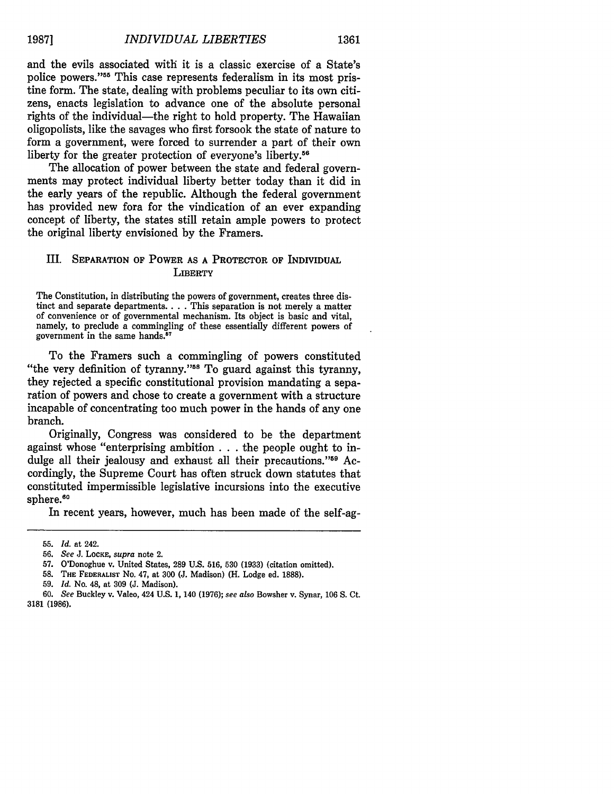and the evils associated with it is a classic exercise of a State's police powers."<sup>55</sup> This case represents federalism in its most pristine form. The state, dealing with problems peculiar to its own citizens, enacts legislation to advance one of the absolute personal rights of the individual—the right to hold property. The Hawaiian oligopolists, like the savages who first forsook the state of nature to form a government, were forced to surrender a part of their own liberty for the greater protection of everyone's liberty.<sup>56</sup>

The allocation of power between the state and federal governments may protect individual liberty better today than it did in the early years of the republic. Although the federal government has provided new fora for the vindication of an ever expanding concept of liberty, the states still retain ample powers to protect the original liberty envisioned by the Framers.

## III. SEPARATION OF POWER **AS A** PROTECTOR OF INDIVIDUAL **LIBERTY**

The Constitution, in distributing the powers of government, creates three distinct and separate departments.. . . This separation is not merely a matter of convenience or of governmental mechanism. Its object is basic and vital, namely, to preclude a commingling of these essentially different powers of government in the same hands.<sup>57</sup>

To the Framers such a commingling of powers constituted "the very definition of tyranny."<sup>58</sup> To guard against this tyranny, they rejected a specific constitutional provision mandating a separation of powers and chose to create a government with a structure incapable of concentrating too much power in the hands of any one branch.

Originally, Congress was considered to be the department against whose "enterprising ambition **. . .** the people ought to indulge all their jealousy and exhaust all their precautions."<sup>59</sup> Accordingly, the Supreme Court has often struck down statutes that constituted impermissible legislative incursions into the executive sphere.<sup>60</sup>

In recent years, however, much has been made of the self-ag-

**59.** *Id.* No. 48, at **309 (J.** Madison).

**<sup>55.</sup>** *Id.* at 242.

**<sup>56.</sup>** *See* J. LOCKE, *supra* note 2.

**<sup>57.</sup>** O'Donoghue v. United States, **289 U.S. 516, 530 (1933)** (citation omitted).

**<sup>58.</sup>** THE FEDERALIST No. 47, at **300 (J.** Madison) (H. Lodge ed. **1888).**

**<sup>60.</sup>** *See* Buckley v. Valeo, 424 **U.S. 1,** 140 **(1976);** *see also* Bowsher v. Synar, **106 S.** Ct. **3181 (1986).**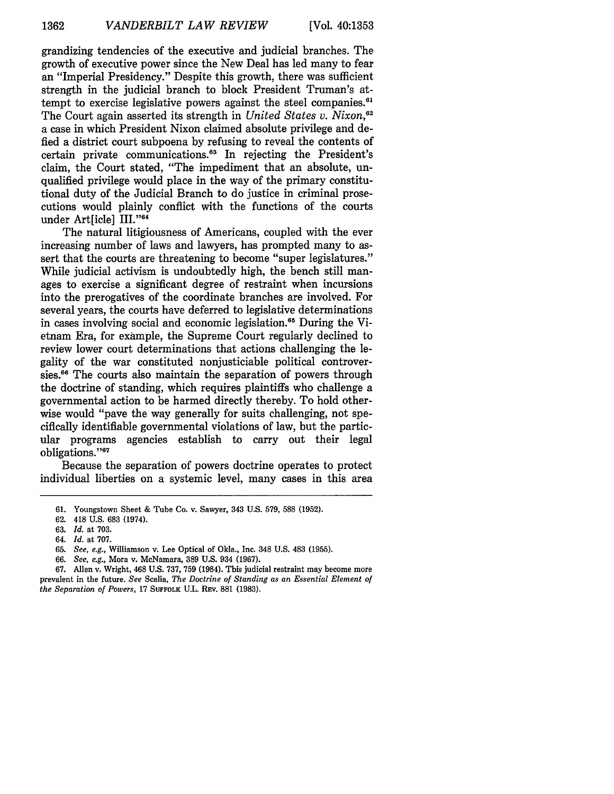grandizing tendencies of the executive and judicial branches. The growth of executive power since the New Deal has led many to fear an "Imperial Presidency." Despite this growth, there was sufficient strength in the judicial branch to block President Truman's attempt to exercise legislative powers against the steel companies.<sup>61</sup> The Court again asserted its strength in *United States v. Nixon,62* a case in which President Nixon claimed absolute privilege and defied a district court subpoena by refusing to reveal the contents of certain private communications.<sup>63</sup> In rejecting the President's claim, the Court stated, "The impediment that an absolute, unqualified privilege would place in the way of the primary constitutional duty of the Judicial Branch to do justice in criminal prosecutions would plainly conflict with the functions of the courts under Art[icle] III."64

The natural litigiousness of Americans, coupled with the ever increasing number of laws and lawyers, has prompted many to assert that the courts are threatening to become "super legislatures." While judicial activism is undoubtedly high, the bench still manages to exercise a significant degree of restraint when incursions into the prerogatives of the coordinate branches are involved. For several years, the courts have deferred to legislative determinations in cases involving social and economic legislation.<sup>65</sup> During the Vietnam Era, for example, the Supreme Court regularly declined to review lower court determinations that actions challenging the legality of the war constituted nonjusticiable political controversies.<sup>66</sup> The courts also maintain the separation of powers through the doctrine of standing, which requires plaintiffs who challenge a governmental action to be harmed directly thereby. To hold otherwise would "pave the way generally for suits challenging, not specifically identifiable governmental violations of law, but the particular programs agencies establish to carry out their legal obligations."<sup>67</sup>

Because the separation of powers doctrine operates to protect individual liberties on a systemic level, many cases in this area

**<sup>61.</sup>** Youngstown Sheet **&** Tube Co. v. Sawyer, 343 **U.S. 579, 588 (1952).**

**<sup>62.</sup>** 418 **U.S. 683** (1974).

**<sup>63.</sup>** *Id.* at **703.**

<sup>64.</sup> *Id.* at **707.**

**<sup>65.</sup>** *See, e.g.,* Williamson v. Lee Optical of Okla., Inc. 348 **U.S.** 483 **(1955).**

**<sup>66.</sup>** *See, e.g.,* Mora v. McNamara, **389 U.S.** 934 **(1967).**

**<sup>67.</sup>** Allen v. Wright, 468 **U.S. 737, 759** (1984). This judicial restraint may become more prevalent in the future. *See* Scalia, *The Doctrine of Standing as an Essential Element of the Separation of Powers,* **17 SUFFOLK U.L. REv. 881 (1983).**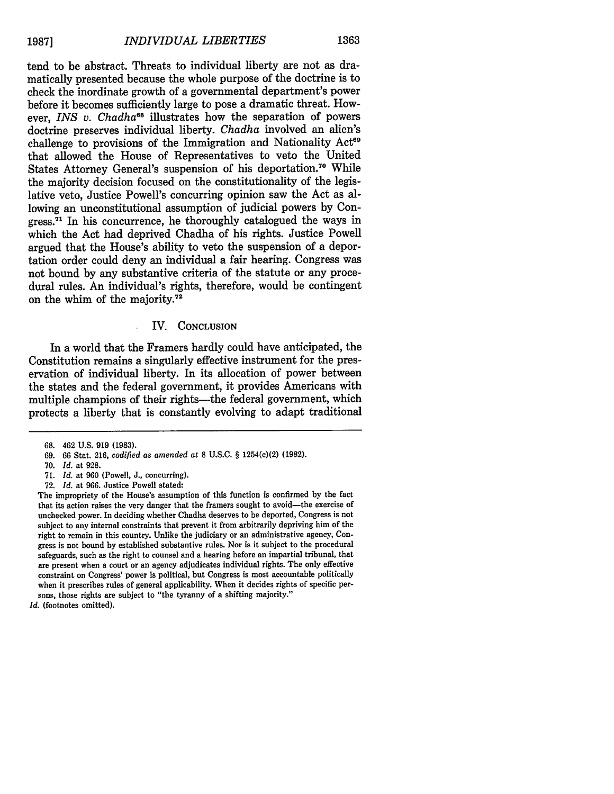tend to be abstract. Threats to individual liberty are not as dramatically presented because the whole purpose of the doctrine is to check the inordinate growth of a governmental department's power before it becomes sufficiently large to pose a dramatic threat. However, *INS v. Chadha*<sup>68</sup> illustrates how the separation of powers doctrine preserves individual liberty. *Chadha* involved an alien's challenge to provisions of the Immigration and Nationality Act<sup>69</sup> that allowed the House of Representatives to veto the United States Attorney General's suspension of his deportation."° While the majority decision focused on the constitutionality of the legislative veto, Justice Powell's concurring opinion saw the Act as allowing an unconstitutional assumption of judicial powers by Con $r_{\text{cross}}^{71}$  In his concurrence, he thoroughly catalogued the ways in which the Act had deprived Chadha of his rights. Justice Powell argued that the House's ability to veto the suspension of a deportation order could deny an individual a fair hearing. Congress was not bound by any substantive criteria of the statute or any procedural rules. An individual's rights, therefore, would be contingent on the whim of the majority. $72$ 

### IV. **CONCLUSION**

In a world that the Framers hardly could have anticipated, the Constitution remains a singularly effective instrument for the preservation of individual liberty. In its allocation of power between the states and the federal government, it provides Americans with multiple champions of their rights—the federal government, which protects a liberty that is constantly evolving to adapt traditional

<sup>68. 462</sup> U.S. 919 (1983).

**<sup>69.</sup>** 66 Stat. 216, *codified as amended at* 8 U.S.C. § 1254(c)(2) (1982).

<sup>70.</sup> *Id.* at 928.

**<sup>71.</sup>** *Id.* at 960 (Powell, J., concurring).

<sup>72.</sup> *Id.* at 966. Justice Powell stated:

The impropriety of the House's assumption of this function is confirmed by the fact that its action raises the very danger that the framers sought to avoid-the exercise of unchecked power. In deciding whether Chadha deserves to be deported, Congress is not subject to any internal constraints that prevent it from arbitrarily depriving him of the right to remain in this country. Unlike the judiciary or an administrative agency, Congress is not bound by established substantive rules. Nor is it subject to the procedural safeguards, such as the right to counsel and a hearing before an impartial tribunal, that are present when a court or an agency adjudicates individual rights. The only effective constraint on Congress' power is political, but Congress is most accountable politically when it prescribes rules of general applicability. When it decides rights of specific persons, those rights are subject to "the tyranny of a shifting majority."

*Id.* (footnotes omitted).